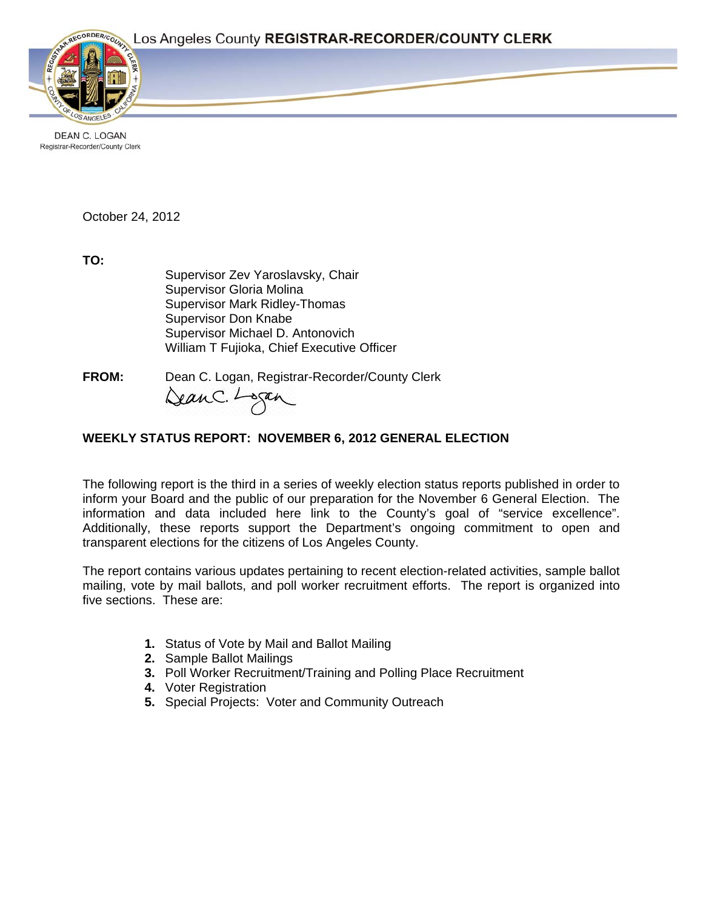

**DEAN C. LOGAN** Registrar-Recorder/County Clerk

October 24, 2012

**TO:**

Supervisor Zev Yaroslavsky, Chair Supervisor Gloria Molina Supervisor Mark Ridley-Thomas Supervisor Don Knabe Supervisor Michael D. Antonovich William T Fujioka, Chief Executive Officer

**FROM:** Dean C. Logan, Registrar-Recorder/County Clerk<br>Can C. Lagan

# **WEEKLY STATUS REPORT: NOVEMBER 6, 2012 GENERAL ELECTION**

The following report is the third in a series of weekly election status reports published in order to inform your Board and the public of our preparation for the November 6 General Election. The information and data included here link to the County's goal of "service excellence". Additionally, these reports support the Department's ongoing commitment to open and transparent elections for the citizens of Los Angeles County.

The report contains various updates pertaining to recent election-related activities, sample ballot mailing, vote by mail ballots, and poll worker recruitment efforts. The report is organized into five sections. These are:

- **1.** Status of Vote by Mail and Ballot Mailing
- **2.** Sample Ballot Mailings
- **3.** Poll Worker Recruitment/Training and Polling Place Recruitment
- **4.** Voter Registration
- **5.** Special Projects: Voter and Community Outreach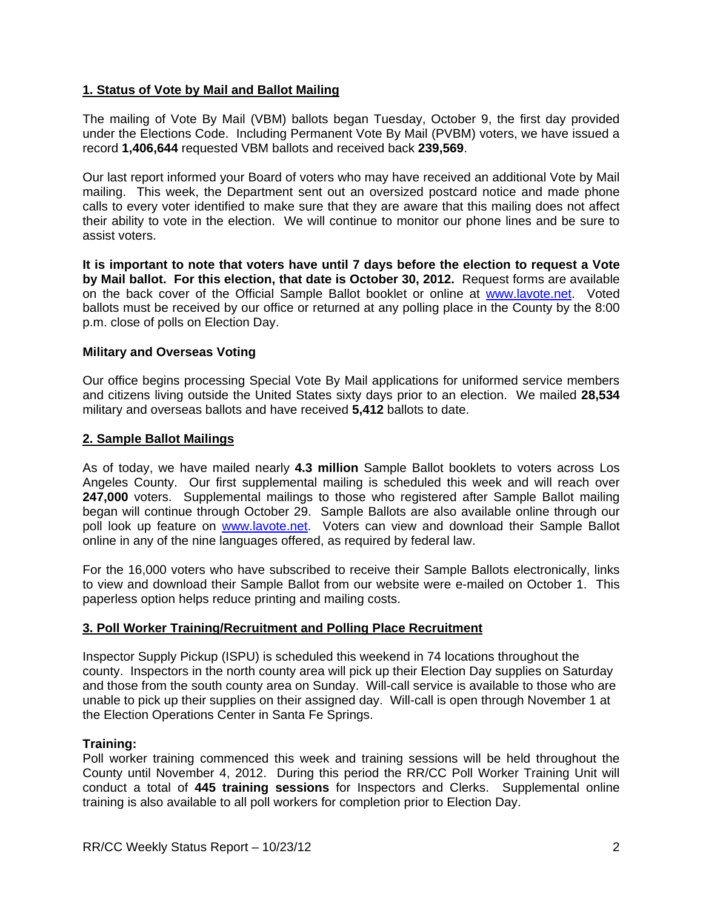# **1. Status of Vote by Mail and Ballot Mailing**

The mailing of Vote By Mail (VBM) ballots began Tuesday, October 9, the first day provided under the Elections Code. Including Permanent Vote By Mail (PVBM) voters, we have issued a record **1,406,644** requested VBM ballots and received back **239,569**.

Our last report informed your Board of voters who may have received an additional Vote by Mail mailing. This week, the Department sent out an oversized postcard notice and made phone calls to every voter identified to make sure that they are aware that this mailing does not affect their ability to vote in the election. We will continue to monitor our phone lines and be sure to assist voters.

**It is important to note that voters have until 7 days before the election to request a Vote by Mail ballot. For this election, that date is October 30, 2012.** Request forms are available on the back cover of the Official Sample Ballot booklet or online at www.lavote.net. Voted ballots must be received by our office or returned at any polling place in the County by the 8:00 p.m. close of polls on Election Day.

## **Military and Overseas Voting**

Our office begins processing Special Vote By Mail applications for uniformed service members and citizens living outside the United States sixty days prior to an election. We mailed **28,534**  military and overseas ballots and have received **5,412** ballots to date.

### **2. Sample Ballot Mailings**

As of today, we have mailed nearly **4.3 million** Sample Ballot booklets to voters across Los Angeles County. Our first supplemental mailing is scheduled this week and will reach over **247,000** voters. Supplemental mailings to those who registered after Sample Ballot mailing began will continue through October 29. Sample Ballots are also available online through our poll look up feature on www.lavote.net. Voters can view and download their Sample Ballot online in any of the nine languages offered, as required by federal law.

For the 16,000 voters who have subscribed to receive their Sample Ballots electronically, links to view and download their Sample Ballot from our website were e-mailed on October 1. This paperless option helps reduce printing and mailing costs.

## **3. Poll Worker Training/Recruitment and Polling Place Recruitment**

Inspector Supply Pickup (ISPU) is scheduled this weekend in 74 locations throughout the county. Inspectors in the north county area will pick up their Election Day supplies on Saturday and those from the south county area on Sunday. Will-call service is available to those who are unable to pick up their supplies on their assigned day. Will-call is open through November 1 at the Election Operations Center in Santa Fe Springs.

#### **Training:**

Poll worker training commenced this week and training sessions will be held throughout the County until November 4, 2012. During this period the RR/CC Poll Worker Training Unit will conduct a total of **445 training sessions** for Inspectors and Clerks. Supplemental online training is also available to all poll workers for completion prior to Election Day.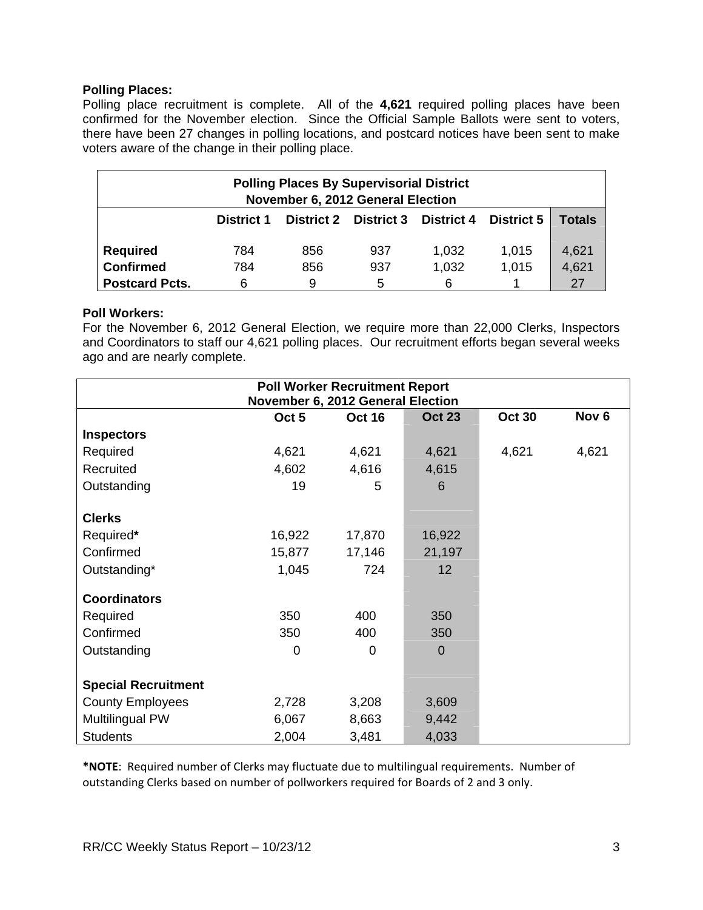### **Polling Places:**

Polling place recruitment is complete. All of the **4,621** required polling places have been confirmed for the November election. Since the Official Sample Ballots were sent to voters, there have been 27 changes in polling locations, and postcard notices have been sent to make voters aware of the change in their polling place.

| <b>Polling Places By Supervisorial District</b><br>November 6, 2012 General Election |            |     |                              |                   |                   |        |
|--------------------------------------------------------------------------------------|------------|-----|------------------------------|-------------------|-------------------|--------|
|                                                                                      | District 1 |     | <b>District 2 District 3</b> | <b>District 4</b> | <b>District 5</b> | Totals |
| <b>Required</b>                                                                      | 784        | 856 | 937                          | 1,032             | 1,015             | 4,621  |
| <b>Confirmed</b>                                                                     | 784        | 856 | 937                          | 1,032             | 1,015             | 4,621  |
| <b>Postcard Pcts.</b>                                                                | 6          | 9   | 5                            | 6                 |                   | 27     |

### **Poll Workers:**

For the November 6, 2012 General Election, we require more than 22,000 Clerks, Inspectors and Coordinators to staff our 4,621 polling places. Our recruitment efforts began several weeks ago and are nearly complete.

|                            | November 6, 2012 General Election | <b>Poll Worker Recruitment Report</b> |               |               |                  |
|----------------------------|-----------------------------------|---------------------------------------|---------------|---------------|------------------|
|                            | Oct <sub>5</sub>                  | <b>Oct 16</b>                         | <b>Oct 23</b> | <b>Oct 30</b> | Nov <sub>6</sub> |
| <b>Inspectors</b>          |                                   |                                       |               |               |                  |
| Required                   | 4,621                             | 4,621                                 | 4,621         | 4,621         | 4,621            |
| Recruited                  | 4,602                             | 4,616                                 | 4,615         |               |                  |
| Outstanding                | 19                                | 5                                     | 6             |               |                  |
| <b>Clerks</b>              |                                   |                                       |               |               |                  |
| Required*                  | 16,922                            | 17,870                                | 16,922        |               |                  |
| Confirmed                  | 15,877                            | 17,146                                | 21,197        |               |                  |
| Outstanding*               | 1,045                             | 724                                   | 12            |               |                  |
| <b>Coordinators</b>        |                                   |                                       |               |               |                  |
| Required                   | 350                               | 400                                   | 350           |               |                  |
| Confirmed                  | 350                               | 400                                   | 350           |               |                  |
| Outstanding                | 0                                 | $\Omega$                              | $\Omega$      |               |                  |
| <b>Special Recruitment</b> |                                   |                                       |               |               |                  |
| <b>County Employees</b>    | 2,728                             | 3,208                                 | 3,609         |               |                  |
| Multilingual PW            | 6,067                             | 8,663                                 | 9,442         |               |                  |
| <b>Students</b>            | 2,004                             | 3,481                                 | 4,033         |               |                  |

**\*NOTE**: Required number of Clerks may fluctuate due to multilingual requirements. Number of outstanding Clerks based on number of pollworkers required for Boards of 2 and 3 only.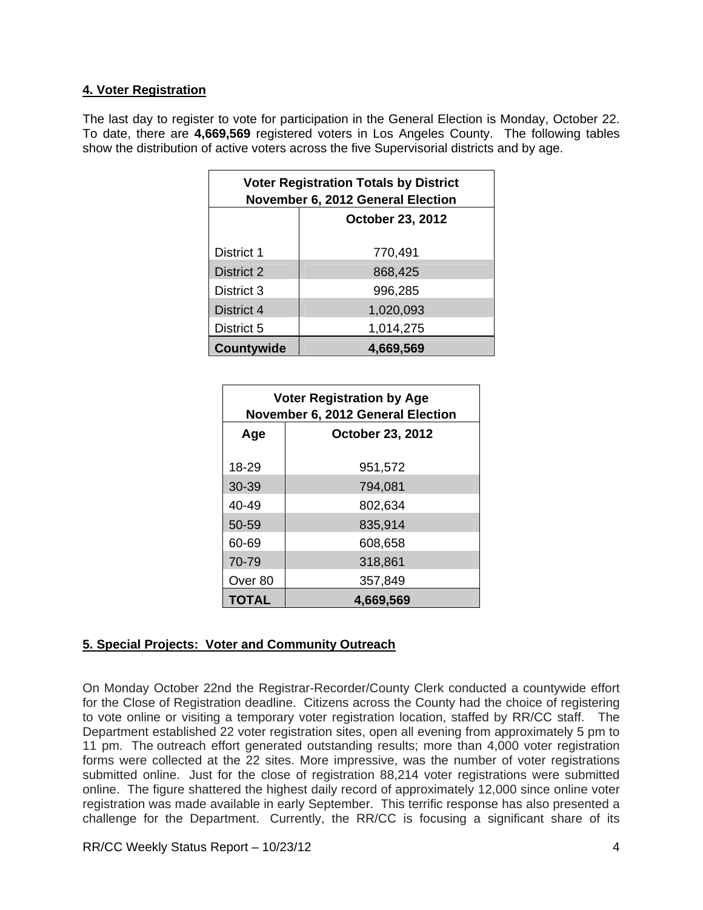## **4. Voter Registration**

The last day to register to vote for participation in the General Election is Monday, October 22. To date, there are **4,669,569** registered voters in Los Angeles County. The following tables show the distribution of active voters across the five Supervisorial districts and by age.

| <b>Voter Registration Totals by District</b><br>November 6, 2012 General Election |                         |  |  |  |
|-----------------------------------------------------------------------------------|-------------------------|--|--|--|
|                                                                                   | <b>October 23, 2012</b> |  |  |  |
| District 1                                                                        | 770,491                 |  |  |  |
| District 2                                                                        | 868,425                 |  |  |  |
| District 3                                                                        | 996,285                 |  |  |  |
| District 4                                                                        | 1,020,093               |  |  |  |
| District 5                                                                        | 1,014,275               |  |  |  |
| Countywide                                                                        | 4,669,569               |  |  |  |

| <b>Voter Registration by Age</b><br>November 6, 2012 General Election |                         |  |  |
|-----------------------------------------------------------------------|-------------------------|--|--|
| Age                                                                   | <b>October 23, 2012</b> |  |  |
| 18-29                                                                 | 951,572                 |  |  |
| 30-39                                                                 | 794,081                 |  |  |
| $40 - 49$                                                             | 802,634                 |  |  |
| 50-59                                                                 | 835,914                 |  |  |
| 60-69                                                                 | 608,658                 |  |  |
| 70-79                                                                 | 318,861                 |  |  |
| Over 80                                                               | 357,849                 |  |  |
| TOTAL                                                                 | 4,669,569               |  |  |

# **5. Special Projects: Voter and Community Outreach**

On Monday October 22nd the Registrar-Recorder/County Clerk conducted a countywide effort for the Close of Registration deadline. Citizens across the County had the choice of registering to vote online or visiting a temporary voter registration location, staffed by RR/CC staff. The Department established 22 voter registration sites, open all evening from approximately 5 pm to 11 pm. The outreach effort generated outstanding results; more than 4,000 voter registration forms were collected at the 22 sites. More impressive, was the number of voter registrations submitted online. Just for the close of registration 88,214 voter registrations were submitted online. The figure shattered the highest daily record of approximately 12,000 since online voter registration was made available in early September. This terrific response has also presented a challenge for the Department. Currently, the RR/CC is focusing a significant share of its